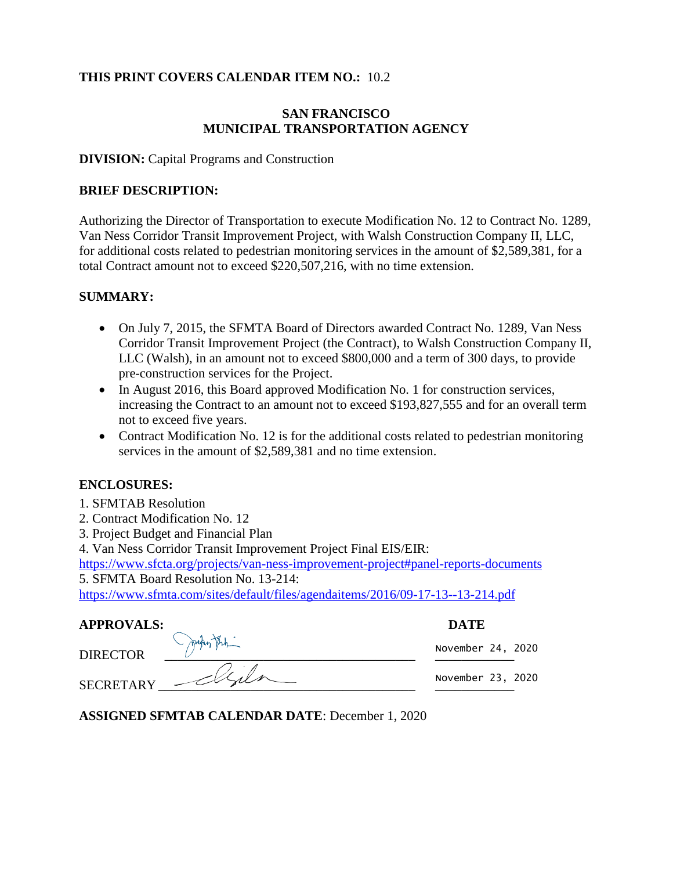#### **THIS PRINT COVERS CALENDAR ITEM NO.:** 10.2

## **SAN FRANCISCO MUNICIPAL TRANSPORTATION AGENCY**

#### **DIVISION:** Capital Programs and Construction

#### **BRIEF DESCRIPTION:**

Authorizing the Director of Transportation to execute Modification No. 12 to Contract No. 1289, Van Ness Corridor Transit Improvement Project, with Walsh Construction Company II, LLC, for additional costs related to pedestrian monitoring services in the amount of \$2,589,381, for a total Contract amount not to exceed \$220,507,216, with no time extension.

#### **SUMMARY:**

- On July 7, 2015, the SFMTA Board of Directors awarded Contract No. 1289, Van Ness Corridor Transit Improvement Project (the Contract), to Walsh Construction Company II, LLC (Walsh), in an amount not to exceed \$800,000 and a term of 300 days, to provide pre-construction services for the Project.
- In August 2016, this Board approved Modification No. 1 for construction services, increasing the Contract to an amount not to exceed \$193,827,555 and for an overall term not to exceed five years.
- Contract Modification No. 12 is for the additional costs related to pedestrian monitoring services in the amount of \$2,589,381 and no time extension.

#### **ENCLOSURES:**

- 1. SFMTAB Resolution
- 2. Contract Modification No. 12
- 3. Project Budget and Financial Plan
- 4. Van Ness Corridor Transit Improvement Project Final EIS/EIR:

<https://www.sfcta.org/projects/van-ness-improvement-project#panel-reports-documents> 5. SFMTA Board Resolution No. 13-214:

https://www.sfmta.com/sites/default/files/agendaitems/2016/09-17-13--13-214.pdf

| <b>APPROVALS:</b> | <b>DATE</b> |
|-------------------|-------------|
|                   |             |

DIRECTOR \_\_\_\_\_\_\_\_\_\_\_\_\_\_\_\_\_\_\_\_\_\_\_\_\_\_\_\_\_\_\_\_\_\_\_\_\_\_ \_\_\_\_\_\_\_\_\_\_\_\_ SECRETARY

November 24, 2020

November 23, 2020

**ASSIGNED SFMTAB CALENDAR DATE**: December 1, 2020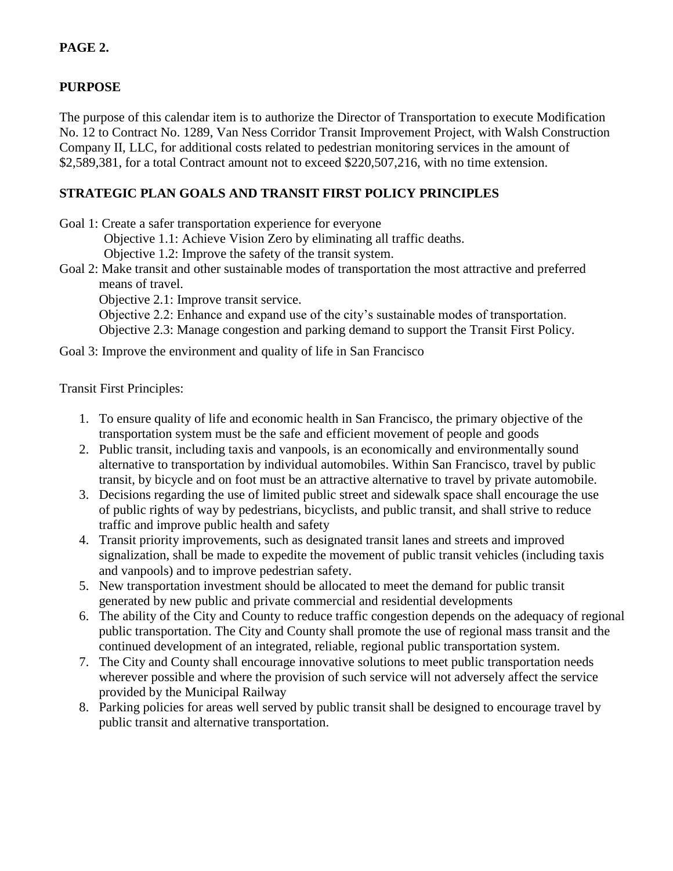# **PAGE 2.**

## **PURPOSE**

The purpose of this calendar item is to authorize the Director of Transportation to execute Modification No. 12 to Contract No. 1289, Van Ness Corridor Transit Improvement Project, with Walsh Construction Company II, LLC, for additional costs related to pedestrian monitoring services in the amount of \$2,589,381, for a total Contract amount not to exceed \$220,507,216, with no time extension.

# **STRATEGIC PLAN GOALS AND TRANSIT FIRST POLICY PRINCIPLES**

Goal 1: Create a safer transportation experience for everyone

Objective 1.1: Achieve Vision Zero by eliminating all traffic deaths.

Objective 1.2: Improve the safety of the transit system.

Goal 2: Make transit and other sustainable modes of transportation the most attractive and preferred means of travel.

Objective 2.1: Improve transit service.

Objective 2.2: Enhance and expand use of the city's sustainable modes of transportation. Objective 2.3: Manage congestion and parking demand to support the Transit First Policy.

Goal 3: Improve the environment and quality of life in San Francisco

#### Transit First Principles:

- 1. To ensure quality of life and economic health in San Francisco, the primary objective of the transportation system must be the safe and efficient movement of people and goods
- 2. Public transit, including taxis and vanpools, is an economically and environmentally sound alternative to transportation by individual automobiles. Within San Francisco, travel by public transit, by bicycle and on foot must be an attractive alternative to travel by private automobile.
- 3. Decisions regarding the use of limited public street and sidewalk space shall encourage the use of public rights of way by pedestrians, bicyclists, and public transit, and shall strive to reduce traffic and improve public health and safety
- 4. Transit priority improvements, such as designated transit lanes and streets and improved signalization, shall be made to expedite the movement of public transit vehicles (including taxis and vanpools) and to improve pedestrian safety.
- 5. New transportation investment should be allocated to meet the demand for public transit generated by new public and private commercial and residential developments
- 6. The ability of the City and County to reduce traffic congestion depends on the adequacy of regional public transportation. The City and County shall promote the use of regional mass transit and the continued development of an integrated, reliable, regional public transportation system.
- 7. The City and County shall encourage innovative solutions to meet public transportation needs wherever possible and where the provision of such service will not adversely affect the service provided by the Municipal Railway
- 8. Parking policies for areas well served by public transit shall be designed to encourage travel by public transit and alternative transportation.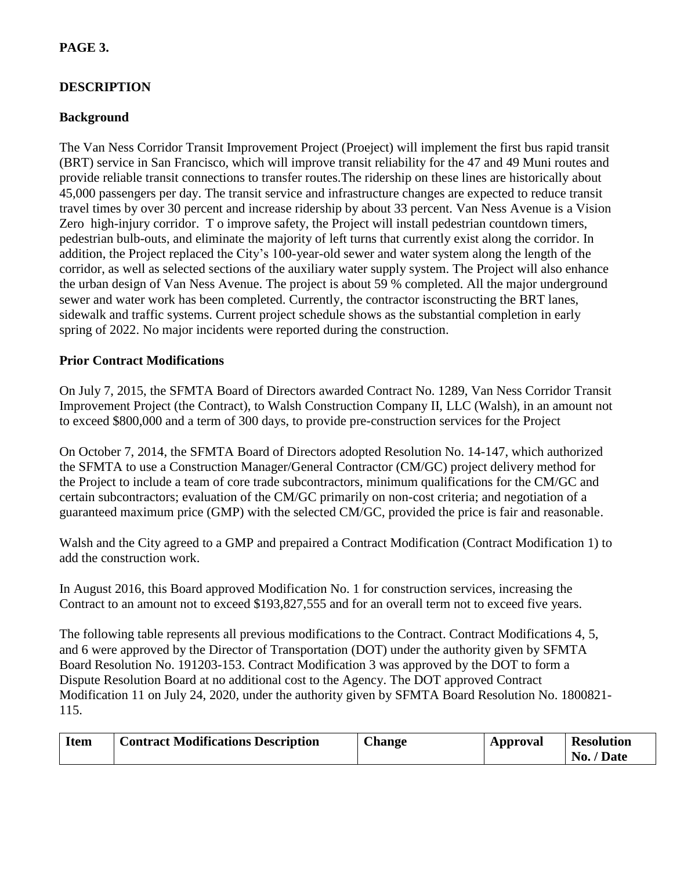# **PAGE 3.**

# **DESCRIPTION**

## **Background**

The Van Ness Corridor Transit Improvement Project (Proeject) will implement the first bus rapid transit (BRT) service in San Francisco, which will improve transit reliability for the 47 and 49 Muni routes and provide reliable transit connections to transfer routes.The ridership on these lines are historically about 45,000 passengers per day. The transit service and infrastructure changes are expected to reduce transit travel times by over 30 percent and increase ridership by about 33 percent. Van Ness Avenue is a Vision Zero high-injury corridor. T o improve safety, the Project will install pedestrian countdown timers, pedestrian bulb-outs, and eliminate the majority of left turns that currently exist along the corridor. In addition, the Project replaced the City's 100-year-old sewer and water system along the length of the corridor, as well as selected sections of the auxiliary water supply system. The Project will also enhance the urban design of Van Ness Avenue. The project is about 59 % completed. All the major underground sewer and water work has been completed. Currently, the contractor isconstructing the BRT lanes, sidewalk and traffic systems. Current project schedule shows as the substantial completion in early spring of 2022. No major incidents were reported during the construction.

#### **Prior Contract Modifications**

On July 7, 2015, the SFMTA Board of Directors awarded Contract No. 1289, Van Ness Corridor Transit Improvement Project (the Contract), to Walsh Construction Company II, LLC (Walsh), in an amount not to exceed \$800,000 and a term of 300 days, to provide pre-construction services for the Project

On October 7, 2014, the SFMTA Board of Directors adopted Resolution No. 14-147, which authorized the SFMTA to use a Construction Manager/General Contractor (CM/GC) project delivery method for the Project to include a team of core trade subcontractors, minimum qualifications for the CM/GC and certain subcontractors; evaluation of the CM/GC primarily on non-cost criteria; and negotiation of a guaranteed maximum price (GMP) with the selected CM/GC, provided the price is fair and reasonable.

Walsh and the City agreed to a GMP and prepaired a Contract Modification (Contract Modification 1) to add the construction work.

In August 2016, this Board approved Modification No. 1 for construction services, increasing the Contract to an amount not to exceed \$193,827,555 and for an overall term not to exceed five years.

The following table represents all previous modifications to the Contract. Contract Modifications 4, 5, and 6 were approved by the Director of Transportation (DOT) under the authority given by SFMTA Board Resolution No. 191203-153. Contract Modification 3 was approved by the DOT to form a Dispute Resolution Board at no additional cost to the Agency. The DOT approved Contract Modification 11 on July 24, 2020, under the authority given by SFMTA Board Resolution No. 1800821- 115.

| <b>Item</b> | Contract Modifications Description | <b>Change</b> | Approval | <b>Resolution</b> |
|-------------|------------------------------------|---------------|----------|-------------------|
|             |                                    |               |          | No. / Date        |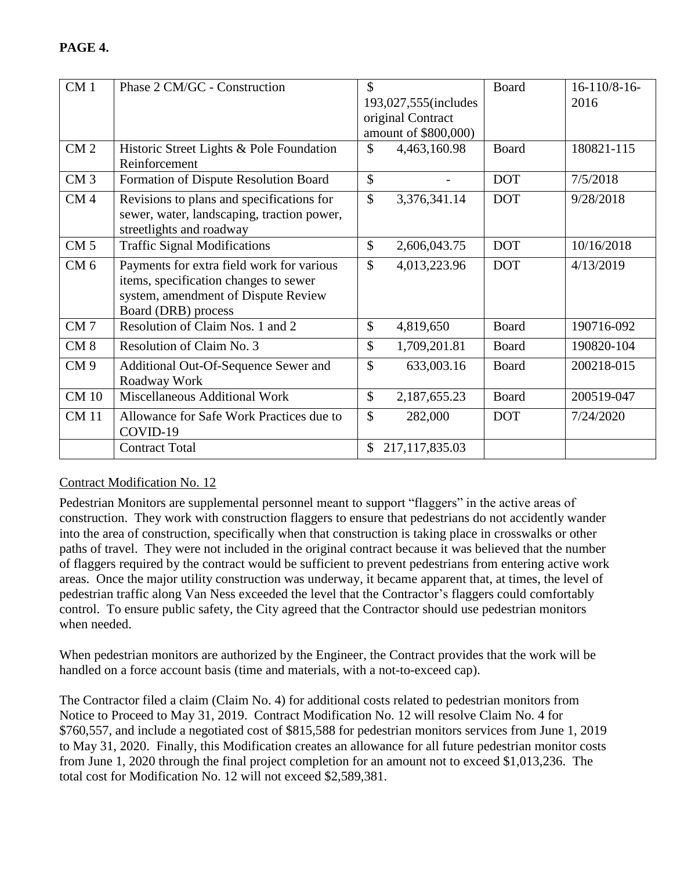| CM <sub>1</sub> | Phase 2 CM/GC - Construction               | \$                            | Board        | $16-110/8-16$ - |
|-----------------|--------------------------------------------|-------------------------------|--------------|-----------------|
|                 |                                            | 193,027,555(includes          |              | 2016            |
|                 |                                            | original Contract             |              |                 |
|                 |                                            | amount of \$800,000)          |              |                 |
| CM <sub>2</sub> | Historic Street Lights & Pole Foundation   | \$<br>4,463,160.98            | <b>Board</b> | 180821-115      |
|                 | Reinforcement                              |                               |              |                 |
| CM <sub>3</sub> | Formation of Dispute Resolution Board      | $\mathcal{S}$                 | <b>DOT</b>   | 7/5/2018        |
| CM <sub>4</sub> | Revisions to plans and specifications for  | $\mathcal{S}$<br>3,376,341.14 | <b>DOT</b>   | 9/28/2018       |
|                 | sewer, water, landscaping, traction power, |                               |              |                 |
|                 | streetlights and roadway                   |                               |              |                 |
| CM <sub>5</sub> | <b>Traffic Signal Modifications</b>        | $\mathcal{S}$<br>2,606,043.75 | <b>DOT</b>   | 10/16/2018      |
| CM <sub>6</sub> | Payments for extra field work for various  | $\mathcal{S}$<br>4,013,223.96 | <b>DOT</b>   | 4/13/2019       |
|                 | items, specification changes to sewer      |                               |              |                 |
|                 | system, amendment of Dispute Review        |                               |              |                 |
|                 | Board (DRB) process                        |                               |              |                 |
| CM <sub>7</sub> | Resolution of Claim Nos. 1 and 2           | $\mathbb{S}$<br>4,819,650     | Board        | 190716-092      |
| CM <sub>8</sub> | Resolution of Claim No. 3                  | $\mathcal{S}$<br>1,709,201.81 | <b>Board</b> | 190820-104      |
| CM <sub>9</sub> | Additional Out-Of-Sequence Sewer and       | \$<br>633,003.16              | Board        | 200218-015      |
|                 | Roadway Work                               |                               |              |                 |
| <b>CM 10</b>    | Miscellaneous Additional Work              | $\mathbb{S}$<br>2,187,655.23  | Board        | 200519-047      |
| <b>CM11</b>     | Allowance for Safe Work Practices due to   | \$<br>282,000                 | <b>DOT</b>   | 7/24/2020       |
|                 | COVID-19                                   |                               |              |                 |
|                 | <b>Contract Total</b>                      | 217,117,835.03<br>\$          |              |                 |

# Contract Modification No. 12

Pedestrian Monitors are supplemental personnel meant to support "flaggers" in the active areas of construction. They work with construction flaggers to ensure that pedestrians do not accidently wander into the area of construction, specifically when that construction is taking place in crosswalks or other paths of travel. They were not included in the original contract because it was believed that the number of flaggers required by the contract would be sufficient to prevent pedestrians from entering active work areas. Once the major utility construction was underway, it became apparent that, at times, the level of pedestrian traffic along Van Ness exceeded the level that the Contractor's flaggers could comfortably control. To ensure public safety, the City agreed that the Contractor should use pedestrian monitors when needed.

When pedestrian monitors are authorized by the Engineer, the Contract provides that the work will be handled on a force account basis (time and materials, with a not-to-exceed cap).

The Contractor filed a claim (Claim No. 4) for additional costs related to pedestrian monitors from Notice to Proceed to May 31, 2019. Contract Modification No. 12 will resolve Claim No. 4 for \$760,557, and include a negotiated cost of \$815,588 for pedestrian monitors services from June 1, 2019 to May 31, 2020. Finally, this Modification creates an allowance for all future pedestrian monitor costs from June 1, 2020 through the final project completion for an amount not to exceed \$1,013,236. The total cost for Modification No. 12 will not exceed \$2,589,381.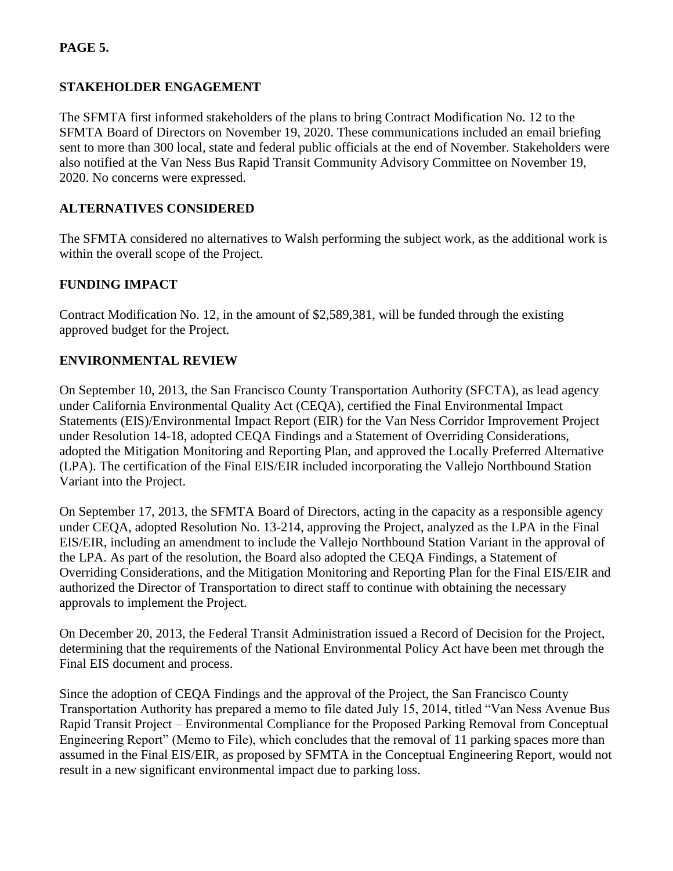# **PAGE 5.**

## **STAKEHOLDER ENGAGEMENT**

The SFMTA first informed stakeholders of the plans to bring Contract Modification No. 12 to the SFMTA Board of Directors on November 19, 2020. These communications included an email briefing sent to more than 300 local, state and federal public officials at the end of November. Stakeholders were also notified at the Van Ness Bus Rapid Transit Community Advisory Committee on November 19, 2020. No concerns were expressed.

## **ALTERNATIVES CONSIDERED**

The SFMTA considered no alternatives to Walsh performing the subject work, as the additional work is within the overall scope of the Project.

## **FUNDING IMPACT**

Contract Modification No. 12, in the amount of \$2,589,381, will be funded through the existing approved budget for the Project.

## **ENVIRONMENTAL REVIEW**

On September 10, 2013, the San Francisco County Transportation Authority (SFCTA), as lead agency under California Environmental Quality Act (CEQA), certified the Final Environmental Impact Statements (EIS)/Environmental Impact Report (EIR) for the Van Ness Corridor Improvement Project under Resolution 14-18, adopted CEQA Findings and a Statement of Overriding Considerations, adopted the Mitigation Monitoring and Reporting Plan, and approved the Locally Preferred Alternative (LPA). The certification of the Final EIS/EIR included incorporating the Vallejo Northbound Station Variant into the Project.

On September 17, 2013, the SFMTA Board of Directors, acting in the capacity as a responsible agency under CEQA, adopted Resolution No. 13-214, approving the Project, analyzed as the LPA in the Final EIS/EIR, including an amendment to include the Vallejo Northbound Station Variant in the approval of the LPA. As part of the resolution, the Board also adopted the CEQA Findings, a Statement of Overriding Considerations, and the Mitigation Monitoring and Reporting Plan for the Final EIS/EIR and authorized the Director of Transportation to direct staff to continue with obtaining the necessary approvals to implement the Project.

On December 20, 2013, the Federal Transit Administration issued a Record of Decision for the Project, determining that the requirements of the National Environmental Policy Act have been met through the Final EIS document and process.

Since the adoption of CEQA Findings and the approval of the Project, the San Francisco County Transportation Authority has prepared a memo to file dated July 15, 2014, titled "Van Ness Avenue Bus Rapid Transit Project – Environmental Compliance for the Proposed Parking Removal from Conceptual Engineering Report" (Memo to File), which concludes that the removal of 11 parking spaces more than assumed in the Final EIS/EIR, as proposed by SFMTA in the Conceptual Engineering Report, would not result in a new significant environmental impact due to parking loss.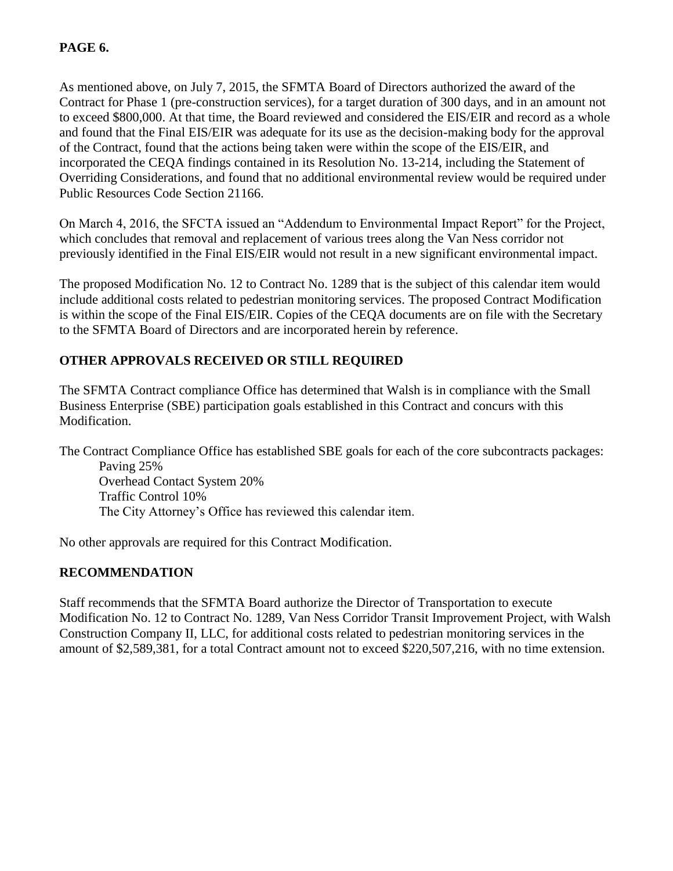## **PAGE 6.**

As mentioned above, on July 7, 2015, the SFMTA Board of Directors authorized the award of the Contract for Phase 1 (pre-construction services), for a target duration of 300 days, and in an amount not to exceed \$800,000. At that time, the Board reviewed and considered the EIS/EIR and record as a whole and found that the Final EIS/EIR was adequate for its use as the decision-making body for the approval of the Contract, found that the actions being taken were within the scope of the EIS/EIR, and incorporated the CEQA findings contained in its Resolution No. 13-214, including the Statement of Overriding Considerations, and found that no additional environmental review would be required under Public Resources Code Section 21166.

On March 4, 2016, the SFCTA issued an "Addendum to Environmental Impact Report" for the Project, which concludes that removal and replacement of various trees along the Van Ness corridor not previously identified in the Final EIS/EIR would not result in a new significant environmental impact.

The proposed Modification No. 12 to Contract No. 1289 that is the subject of this calendar item would include additional costs related to pedestrian monitoring services. The proposed Contract Modification is within the scope of the Final EIS/EIR. Copies of the CEQA documents are on file with the Secretary to the SFMTA Board of Directors and are incorporated herein by reference.

# **OTHER APPROVALS RECEIVED OR STILL REQUIRED**

The SFMTA Contract compliance Office has determined that Walsh is in compliance with the Small Business Enterprise (SBE) participation goals established in this Contract and concurs with this Modification.

The Contract Compliance Office has established SBE goals for each of the core subcontracts packages: Paving 25% Overhead Contact System 20% Traffic Control 10% The City Attorney's Office has reviewed this calendar item.

No other approvals are required for this Contract Modification.

#### **RECOMMENDATION**

Staff recommends that the SFMTA Board authorize the Director of Transportation to execute Modification No. 12 to Contract No. 1289, Van Ness Corridor Transit Improvement Project, with Walsh Construction Company II, LLC, for additional costs related to pedestrian monitoring services in the amount of \$2,589,381, for a total Contract amount not to exceed \$220,507,216, with no time extension.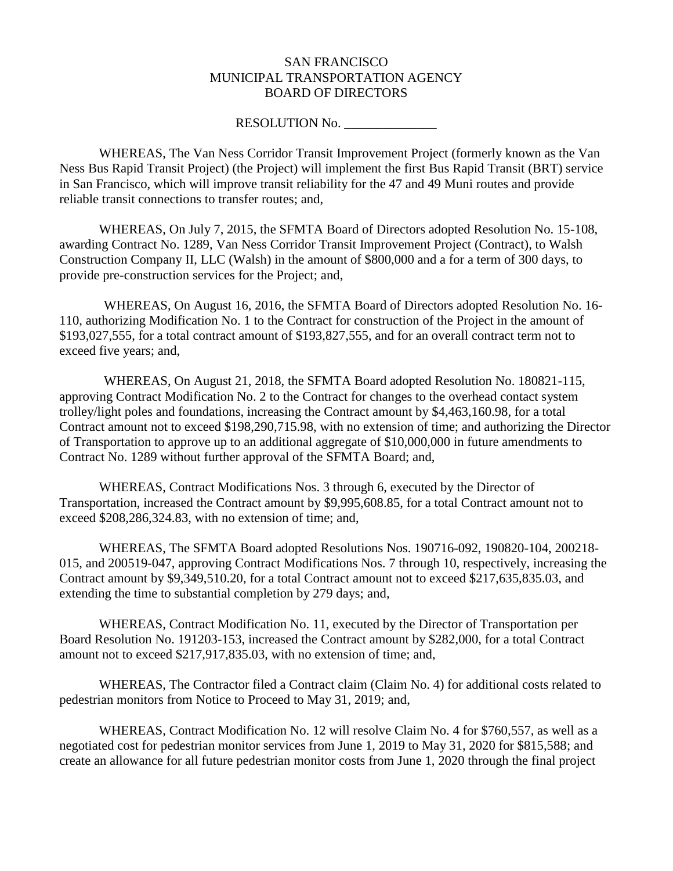#### SAN FRANCISCO MUNICIPAL TRANSPORTATION AGENCY BOARD OF DIRECTORS

#### RESOLUTION No.

WHEREAS, The Van Ness Corridor Transit Improvement Project (formerly known as the Van Ness Bus Rapid Transit Project) (the Project) will implement the first Bus Rapid Transit (BRT) service in San Francisco, which will improve transit reliability for the 47 and 49 Muni routes and provide reliable transit connections to transfer routes; and,

WHEREAS, On July 7, 2015, the SFMTA Board of Directors adopted Resolution No. 15-108, awarding Contract No. 1289, Van Ness Corridor Transit Improvement Project (Contract), to Walsh Construction Company II, LLC (Walsh) in the amount of \$800,000 and a for a term of 300 days, to provide pre-construction services for the Project; and,

WHEREAS, On August 16, 2016, the SFMTA Board of Directors adopted Resolution No. 16- 110, authorizing Modification No. 1 to the Contract for construction of the Project in the amount of \$193,027,555, for a total contract amount of \$193,827,555, and for an overall contract term not to exceed five years; and,

WHEREAS, On August 21, 2018, the SFMTA Board adopted Resolution No. 180821-115, approving Contract Modification No. 2 to the Contract for changes to the overhead contact system trolley/light poles and foundations, increasing the Contract amount by \$4,463,160.98, for a total Contract amount not to exceed \$198,290,715.98, with no extension of time; and authorizing the Director of Transportation to approve up to an additional aggregate of \$10,000,000 in future amendments to Contract No. 1289 without further approval of the SFMTA Board; and,

WHEREAS, Contract Modifications Nos. 3 through 6, executed by the Director of Transportation, increased the Contract amount by \$9,995,608.85, for a total Contract amount not to exceed \$208,286,324.83, with no extension of time; and,

WHEREAS, The SFMTA Board adopted Resolutions Nos. 190716-092, 190820-104, 200218- 015, and 200519-047, approving Contract Modifications Nos. 7 through 10, respectively, increasing the Contract amount by \$9,349,510.20, for a total Contract amount not to exceed \$217,635,835.03, and extending the time to substantial completion by 279 days; and,

WHEREAS, Contract Modification No. 11, executed by the Director of Transportation per Board Resolution No. 191203-153, increased the Contract amount by \$282,000, for a total Contract amount not to exceed \$217,917,835.03, with no extension of time; and,

WHEREAS, The Contractor filed a Contract claim (Claim No. 4) for additional costs related to pedestrian monitors from Notice to Proceed to May 31, 2019; and,

WHEREAS, Contract Modification No. 12 will resolve Claim No. 4 for \$760,557, as well as a negotiated cost for pedestrian monitor services from June 1, 2019 to May 31, 2020 for \$815,588; and create an allowance for all future pedestrian monitor costs from June 1, 2020 through the final project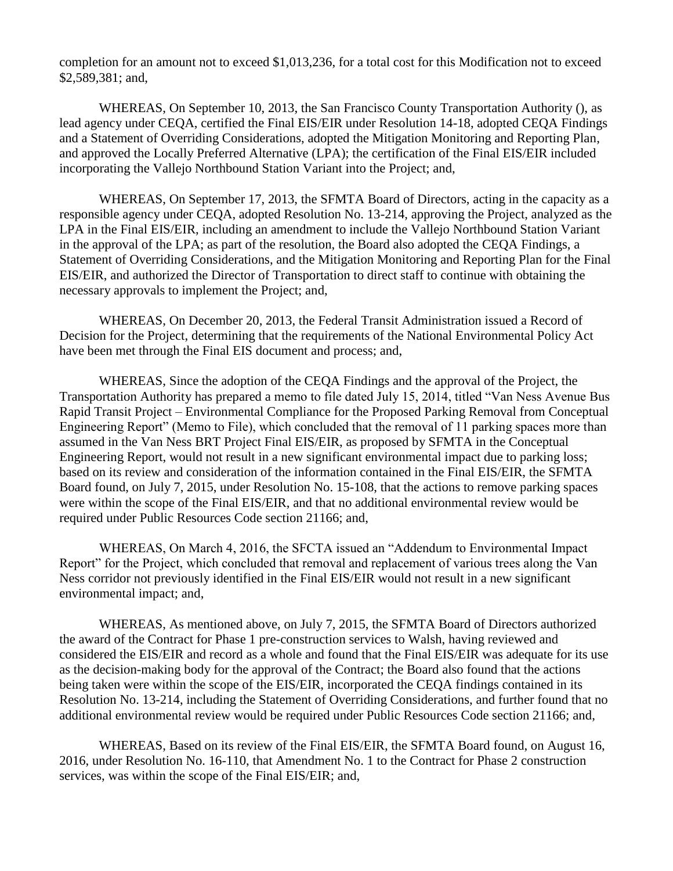completion for an amount not to exceed \$1,013,236, for a total cost for this Modification not to exceed \$2,589,381; and,

WHEREAS, On September 10, 2013, the San Francisco County Transportation Authority (), as lead agency under CEQA, certified the Final EIS/EIR under Resolution 14-18, adopted CEQA Findings and a Statement of Overriding Considerations, adopted the Mitigation Monitoring and Reporting Plan, and approved the Locally Preferred Alternative (LPA); the certification of the Final EIS/EIR included incorporating the Vallejo Northbound Station Variant into the Project; and,

WHEREAS, On September 17, 2013, the SFMTA Board of Directors, acting in the capacity as a responsible agency under CEQA, adopted Resolution No. 13-214, approving the Project, analyzed as the LPA in the Final EIS/EIR, including an amendment to include the Vallejo Northbound Station Variant in the approval of the LPA; as part of the resolution, the Board also adopted the CEQA Findings, a Statement of Overriding Considerations, and the Mitigation Monitoring and Reporting Plan for the Final EIS/EIR, and authorized the Director of Transportation to direct staff to continue with obtaining the necessary approvals to implement the Project; and,

WHEREAS, On December 20, 2013, the Federal Transit Administration issued a Record of Decision for the Project, determining that the requirements of the National Environmental Policy Act have been met through the Final EIS document and process; and,

WHEREAS, Since the adoption of the CEQA Findings and the approval of the Project, the Transportation Authority has prepared a memo to file dated July 15, 2014, titled "Van Ness Avenue Bus Rapid Transit Project – Environmental Compliance for the Proposed Parking Removal from Conceptual Engineering Report" (Memo to File), which concluded that the removal of 11 parking spaces more than assumed in the Van Ness BRT Project Final EIS/EIR, as proposed by SFMTA in the Conceptual Engineering Report, would not result in a new significant environmental impact due to parking loss; based on its review and consideration of the information contained in the Final EIS/EIR, the SFMTA Board found, on July 7, 2015, under Resolution No. 15-108, that the actions to remove parking spaces were within the scope of the Final EIS/EIR, and that no additional environmental review would be required under Public Resources Code section 21166; and,

WHEREAS, On March 4, 2016, the SFCTA issued an "Addendum to Environmental Impact Report" for the Project, which concluded that removal and replacement of various trees along the Van Ness corridor not previously identified in the Final EIS/EIR would not result in a new significant environmental impact; and,

WHEREAS, As mentioned above, on July 7, 2015, the SFMTA Board of Directors authorized the award of the Contract for Phase 1 pre-construction services to Walsh, having reviewed and considered the EIS/EIR and record as a whole and found that the Final EIS/EIR was adequate for its use as the decision-making body for the approval of the Contract; the Board also found that the actions being taken were within the scope of the EIS/EIR, incorporated the CEQA findings contained in its Resolution No. 13-214, including the Statement of Overriding Considerations, and further found that no additional environmental review would be required under Public Resources Code section 21166; and,

WHEREAS, Based on its review of the Final EIS/EIR, the SFMTA Board found, on August 16, 2016, under Resolution No. 16-110, that Amendment No. 1 to the Contract for Phase 2 construction services, was within the scope of the Final EIS/EIR; and,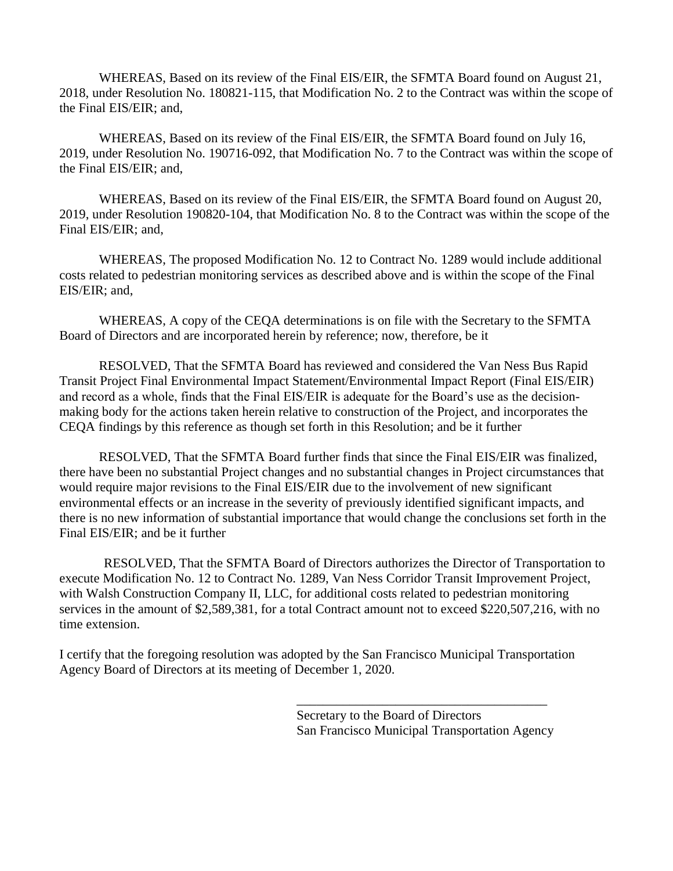WHEREAS, Based on its review of the Final EIS/EIR, the SFMTA Board found on August 21, 2018, under Resolution No. 180821-115, that Modification No. 2 to the Contract was within the scope of the Final EIS/EIR; and,

WHEREAS, Based on its review of the Final EIS/EIR, the SFMTA Board found on July 16, 2019, under Resolution No. 190716-092, that Modification No. 7 to the Contract was within the scope of the Final EIS/EIR; and,

WHEREAS, Based on its review of the Final EIS/EIR, the SFMTA Board found on August 20, 2019, under Resolution 190820-104, that Modification No. 8 to the Contract was within the scope of the Final EIS/EIR; and,

WHEREAS, The proposed Modification No. 12 to Contract No. 1289 would include additional costs related to pedestrian monitoring services as described above and is within the scope of the Final EIS/EIR; and,

WHEREAS, A copy of the CEQA determinations is on file with the Secretary to the SFMTA Board of Directors and are incorporated herein by reference; now, therefore, be it

RESOLVED, That the SFMTA Board has reviewed and considered the Van Ness Bus Rapid Transit Project Final Environmental Impact Statement/Environmental Impact Report (Final EIS/EIR) and record as a whole, finds that the Final EIS/EIR is adequate for the Board's use as the decisionmaking body for the actions taken herein relative to construction of the Project, and incorporates the CEQA findings by this reference as though set forth in this Resolution; and be it further

RESOLVED, That the SFMTA Board further finds that since the Final EIS/EIR was finalized, there have been no substantial Project changes and no substantial changes in Project circumstances that would require major revisions to the Final EIS/EIR due to the involvement of new significant environmental effects or an increase in the severity of previously identified significant impacts, and there is no new information of substantial importance that would change the conclusions set forth in the Final EIS/EIR; and be it further

RESOLVED, That the SFMTA Board of Directors authorizes the Director of Transportation to execute Modification No. 12 to Contract No. 1289, Van Ness Corridor Transit Improvement Project, with Walsh Construction Company II, LLC, for additional costs related to pedestrian monitoring services in the amount of \$2,589,381, for a total Contract amount not to exceed \$220,507,216, with no time extension.

I certify that the foregoing resolution was adopted by the San Francisco Municipal Transportation Agency Board of Directors at its meeting of December 1, 2020.

> Secretary to the Board of Directors San Francisco Municipal Transportation Agency

\_\_\_\_\_\_\_\_\_\_\_\_\_\_\_\_\_\_\_\_\_\_\_\_\_\_\_\_\_\_\_\_\_\_\_\_\_\_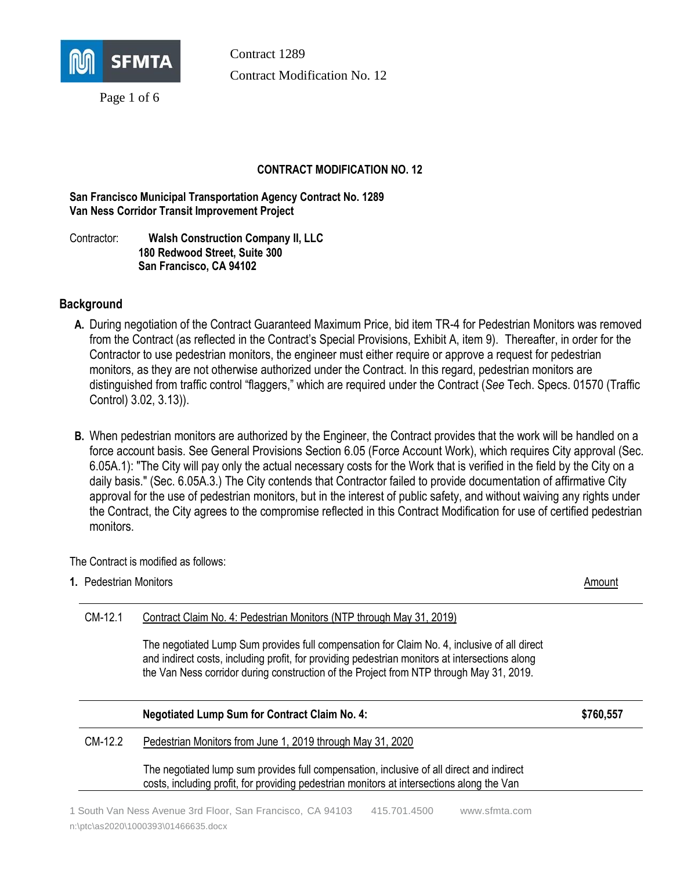

Page 1 of 6

Contract 1289 Contract Modification No. 12

#### **CONTRACT MODIFICATION NO. 12**

**San Francisco Municipal Transportation Agency Contract No. 1289 Van Ness Corridor Transit Improvement Project**

Contractor: **Walsh Construction Company II, LLC 180 Redwood Street, Suite 300 San Francisco, CA 94102**

#### **Background**

- **A.** During negotiation of the Contract Guaranteed Maximum Price, bid item TR-4 for Pedestrian Monitors was removed from the Contract (as reflected in the Contract's Special Provisions, Exhibit A, item 9). Thereafter, in order for the Contractor to use pedestrian monitors, the engineer must either require or approve a request for pedestrian monitors, as they are not otherwise authorized under the Contract. In this regard, pedestrian monitors are distinguished from traffic control "flaggers," which are required under the Contract (*See* Tech. Specs. 01570 (Traffic Control) 3.02, 3.13)).
- **B.** When pedestrian monitors are authorized by the Engineer, the Contract provides that the work will be handled on a force account basis. See General Provisions Section 6.05 (Force Account Work), which requires City approval (Sec. 6.05A.1): "The City will pay only the actual necessary costs for the Work that is verified in the field by the City on a daily basis." (Sec. 6.05A.3.) The City contends that Contractor failed to provide documentation of affirmative City approval for the use of pedestrian monitors, but in the interest of public safety, and without waiving any rights under the Contract, the City agrees to the compromise reflected in this Contract Modification for use of certified pedestrian monitors.

The Contract is modified as follows:

**1.** Pedestrian Monitors **Amount** Amount **Amount** Amount **Amount** Amount **Amount** Amount **Amount** 

| CM-12.1 | Contract Claim No. 4: Pedestrian Monitors (NTP through May 31, 2019)                                                                                                                                                                                                                     |           |
|---------|------------------------------------------------------------------------------------------------------------------------------------------------------------------------------------------------------------------------------------------------------------------------------------------|-----------|
|         | The negotiated Lump Sum provides full compensation for Claim No. 4, inclusive of all direct<br>and indirect costs, including profit, for providing pedestrian monitors at intersections along<br>the Van Ness corridor during construction of the Project from NTP through May 31, 2019. |           |
|         | <b>Negotiated Lump Sum for Contract Claim No. 4:</b>                                                                                                                                                                                                                                     | \$760,557 |
| CM-12.2 |                                                                                                                                                                                                                                                                                          |           |
|         | Pedestrian Monitors from June 1, 2019 through May 31, 2020                                                                                                                                                                                                                               |           |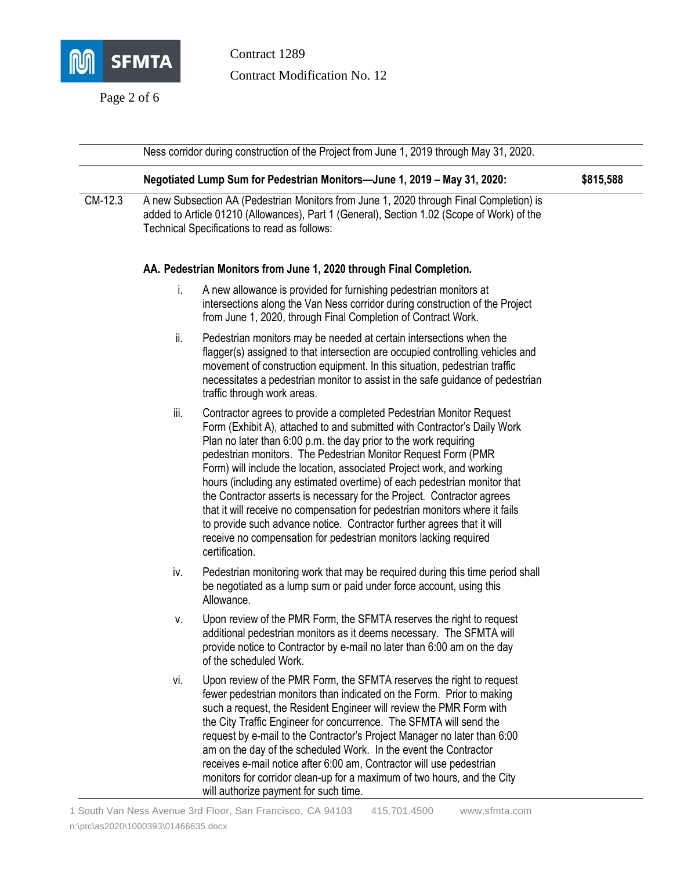

Page 2 of 6

Contract 1289 Contract Modification No. 12

Ness corridor during construction of the Project from June 1, 2019 through May 31, 2020. **Negotiated Lump Sum for Pedestrian Monitors—June 1, 2019 – May 31, 2020: \$815,588** CM-12.3 A new Subsection AA (Pedestrian Monitors from June 1, 2020 through Final Completion) is added to Article 01210 (Allowances), Part 1 (General), Section 1.02 (Scope of Work) of the Technical Specifications to read as follows: **AA. Pedestrian Monitors from June 1, 2020 through Final Completion.**  i. A new allowance is provided for furnishing pedestrian monitors at intersections along the Van Ness corridor during construction of the Project from June 1, 2020, through Final Completion of Contract Work. ii. Pedestrian monitors may be needed at certain intersections when the flagger(s) assigned to that intersection are occupied controlling vehicles and movement of construction equipment. In this situation, pedestrian traffic necessitates a pedestrian monitor to assist in the safe guidance of pedestrian traffic through work areas. iii. Contractor agrees to provide a completed Pedestrian Monitor Request Form (Exhibit A), attached to and submitted with Contractor's Daily Work Plan no later than 6:00 p.m. the day prior to the work requiring pedestrian monitors. The Pedestrian Monitor Request Form (PMR Form) will include the location, associated Project work, and working hours (including any estimated overtime) of each pedestrian monitor that the Contractor asserts is necessary for the Project. Contractor agrees that it will receive no compensation for pedestrian monitors where it fails to provide such advance notice. Contractor further agrees that it will receive no compensation for pedestrian monitors lacking required certification. iv. Pedestrian monitoring work that may be required during this time period shall be negotiated as a lump sum or paid under force account, using this Allowance. v. Upon review of the PMR Form, the SFMTA reserves the right to request additional pedestrian monitors as it deems necessary. The SFMTA will provide notice to Contractor by e-mail no later than 6:00 am on the day of the scheduled Work. vi. Upon review of the PMR Form, the SFMTA reserves the right to request fewer pedestrian monitors than indicated on the Form. Prior to making such a request, the Resident Engineer will review the PMR Form with the City Traffic Engineer for concurrence. The SFMTA will send the request by e-mail to the Contractor's Project Manager no later than 6:00 am on the day of the scheduled Work. In the event the Contractor receives e-mail notice after 6:00 am, Contractor will use pedestrian monitors for corridor clean-up for a maximum of two hours, and the City

will authorize payment for such time.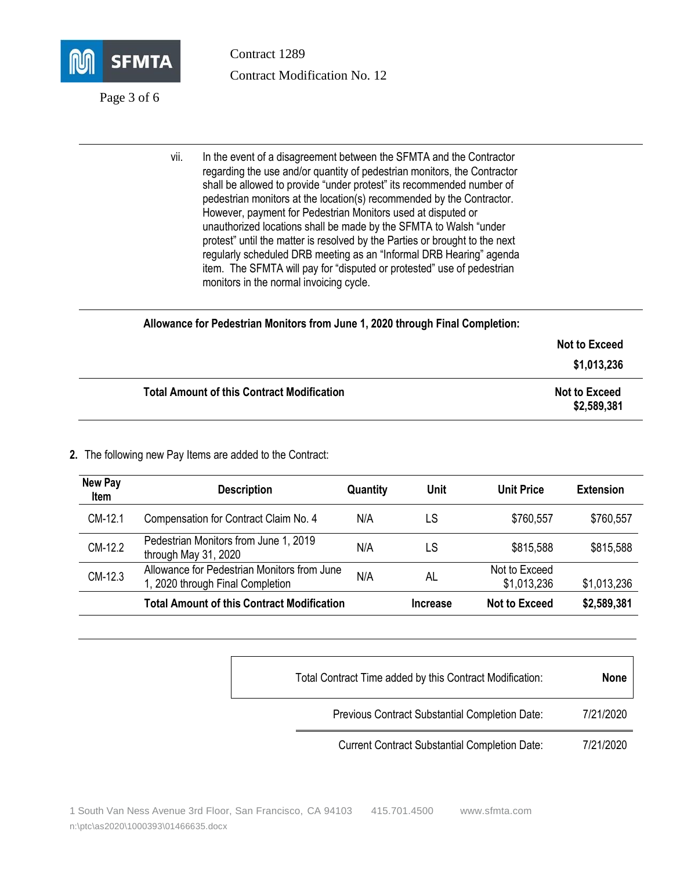

Page 3 of 6

Contract 1289 Contract Modification No. 12

vii. In the event of a disagreement between the SFMTA and the Contractor regarding the use and/or quantity of pedestrian monitors, the Contractor shall be allowed to provide "under protest" its recommended number of pedestrian monitors at the location(s) recommended by the Contractor. However, payment for Pedestrian Monitors used at disputed or unauthorized locations shall be made by the SFMTA to Walsh "under protest" until the matter is resolved by the Parties or brought to the next regularly scheduled DRB meeting as an "Informal DRB Hearing" agenda item. The SFMTA will pay for "disputed or protested" use of pedestrian monitors in the normal invoicing cycle.

| Allowance for Pedestrian Monitors from June 1, 2020 through Final Completion: |                                     |
|-------------------------------------------------------------------------------|-------------------------------------|
|                                                                               | <b>Not to Exceed</b>                |
|                                                                               | \$1,013,236                         |
| <b>Total Amount of this Contract Modification</b>                             | <b>Not to Exceed</b><br>\$2,589,381 |

#### **2.** The following new Pay Items are added to the Contract:

| <b>New Pay</b><br>Item | <b>Description</b>                                                              | <b>Quantity</b> | Unit            | <b>Unit Price</b>            | <b>Extension</b> |
|------------------------|---------------------------------------------------------------------------------|-----------------|-----------------|------------------------------|------------------|
| CM-12.1                | Compensation for Contract Claim No. 4                                           | N/A             | LS              | \$760,557                    | \$760,557        |
| CM-12.2                | Pedestrian Monitors from June 1, 2019<br>through May 31, 2020                   | N/A             | LS              | \$815,588                    | \$815,588        |
| CM-12.3                | Allowance for Pedestrian Monitors from June<br>1, 2020 through Final Completion | N/A             | AL              | Not to Exceed<br>\$1,013,236 | \$1,013,236      |
|                        | Total Amount of this Contract Modification                                      |                 | <b>Increase</b> | Not to Exceed                | \$2,589,381      |

| Total Contract Time added by this Contract Modification: | <b>None</b> |
|----------------------------------------------------------|-------------|
| Previous Contract Substantial Completion Date:           | 7/21/2020   |
| <b>Current Contract Substantial Completion Date:</b>     | 7/21/2020   |

1 South Van Ness Avenue 3rd Floor, San Francisco, CA 94103 415.701.4500 [www.sfmta.com](http://www.sfmta.com/)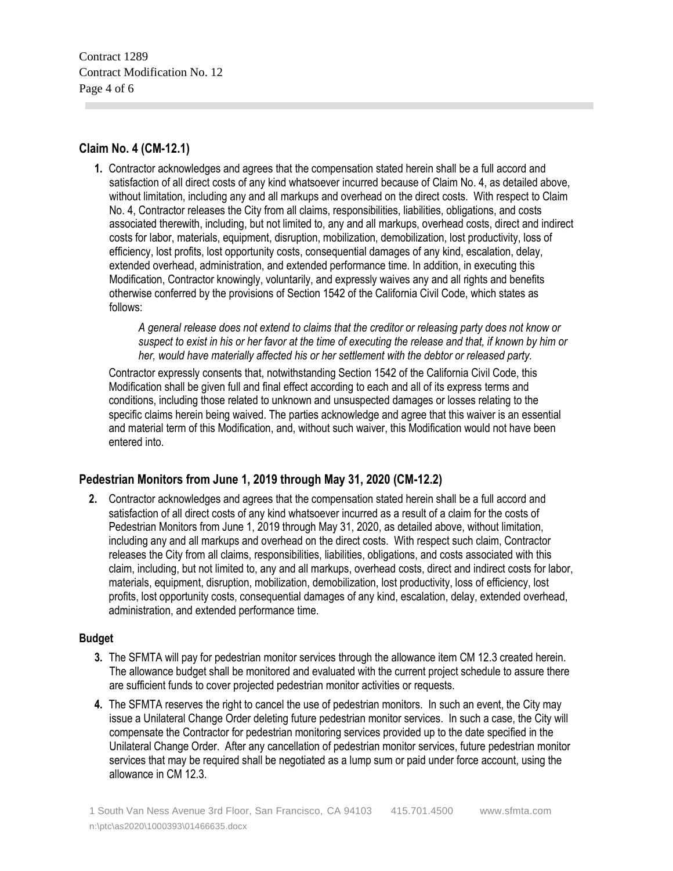Contract 1289 Contract Modification No. 12 Page 4 of 6

#### **Claim No. 4 (CM-12.1)**

**1.** Contractor acknowledges and agrees that the compensation stated herein shall be a full accord and satisfaction of all direct costs of any kind whatsoever incurred because of Claim No. 4, as detailed above, without limitation, including any and all markups and overhead on the direct costs. With respect to Claim No. 4, Contractor releases the City from all claims, responsibilities, liabilities, obligations, and costs associated therewith, including, but not limited to, any and all markups, overhead costs, direct and indirect costs for labor, materials, equipment, disruption, mobilization, demobilization, lost productivity, loss of efficiency, lost profits, lost opportunity costs, consequential damages of any kind, escalation, delay, extended overhead, administration, and extended performance time. In addition, in executing this Modification, Contractor knowingly, voluntarily, and expressly waives any and all rights and benefits otherwise conferred by the provisions of Section 1542 of the California Civil Code, which states as follows:

*A general release does not extend to claims that the creditor or releasing party does not know or suspect to exist in his or her favor at the time of executing the release and that, if known by him or her, would have materially affected his or her settlement with the debtor or released party.*

Contractor expressly consents that, notwithstanding Section 1542 of the California Civil Code, this Modification shall be given full and final effect according to each and all of its express terms and conditions, including those related to unknown and unsuspected damages or losses relating to the specific claims herein being waived. The parties acknowledge and agree that this waiver is an essential and material term of this Modification, and, without such waiver, this Modification would not have been entered into.

#### **Pedestrian Monitors from June 1, 2019 through May 31, 2020 (CM-12.2)**

**2.** Contractor acknowledges and agrees that the compensation stated herein shall be a full accord and satisfaction of all direct costs of any kind whatsoever incurred as a result of a claim for the costs of Pedestrian Monitors from June 1, 2019 through May 31, 2020, as detailed above, without limitation, including any and all markups and overhead on the direct costs. With respect such claim, Contractor releases the City from all claims, responsibilities, liabilities, obligations, and costs associated with this claim, including, but not limited to, any and all markups, overhead costs, direct and indirect costs for labor, materials, equipment, disruption, mobilization, demobilization, lost productivity, loss of efficiency, lost profits, lost opportunity costs, consequential damages of any kind, escalation, delay, extended overhead, administration, and extended performance time.

#### **Budget**

- **3.** The SFMTA will pay for pedestrian monitor services through the allowance item CM 12.3 created herein. The allowance budget shall be monitored and evaluated with the current project schedule to assure there are sufficient funds to cover projected pedestrian monitor activities or requests.
- **4.** The SFMTA reserves the right to cancel the use of pedestrian monitors. In such an event, the City may issue a Unilateral Change Order deleting future pedestrian monitor services. In such a case, the City will compensate the Contractor for pedestrian monitoring services provided up to the date specified in the Unilateral Change Order. After any cancellation of pedestrian monitor services, future pedestrian monitor services that may be required shall be negotiated as a lump sum or paid under force account, using the allowance in CM 12.3.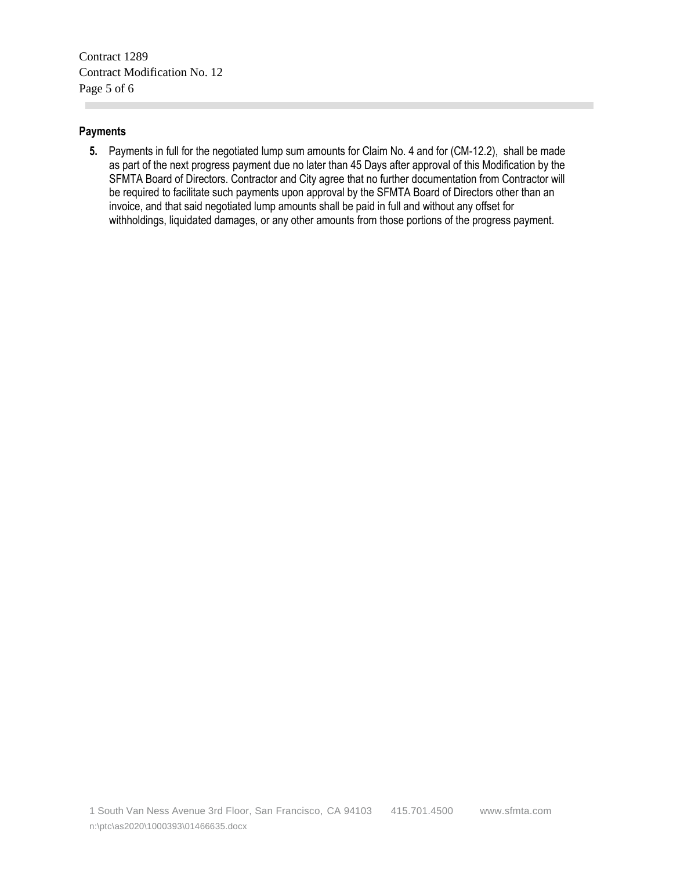Contract 1289 Contract Modification No. 12 Page 5 of 6

#### **Payments**

**COL** 

**5.** Payments in full for the negotiated lump sum amounts for Claim No. 4 and for (CM-12.2), shall be made as part of the next progress payment due no later than 45 Days after approval of this Modification by the SFMTA Board of Directors. Contractor and City agree that no further documentation from Contractor will be required to facilitate such payments upon approval by the SFMTA Board of Directors other than an invoice, and that said negotiated lump amounts shall be paid in full and without any offset for withholdings, liquidated damages, or any other amounts from those portions of the progress payment.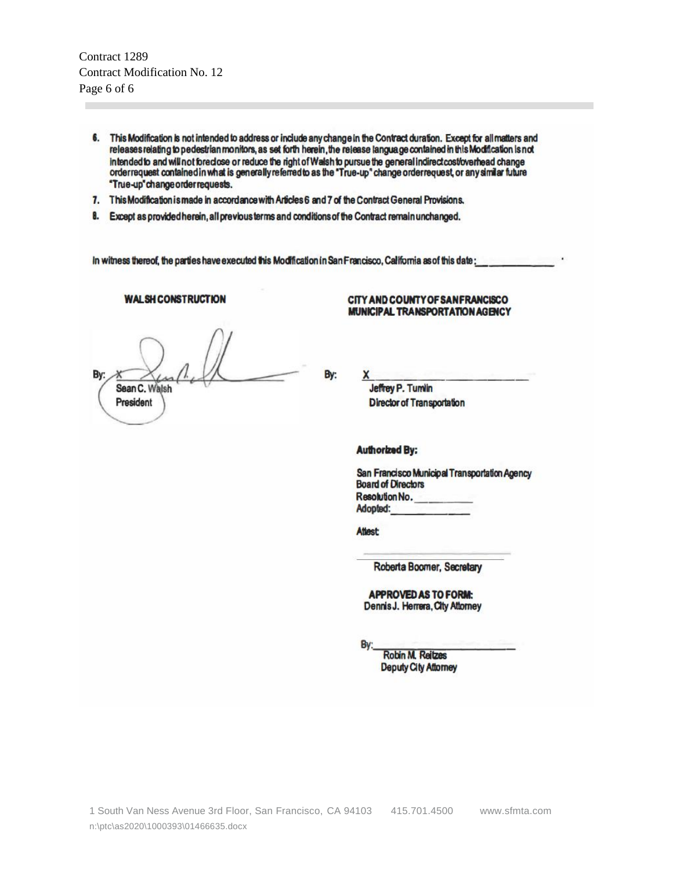Contract 1289 Contract Modification No. 12 Page 6 of 6

- 6. This Modification is not intended to address or include any change in the Contract duration. Except for all matters and releases relating to pedestrian monitors, as set forth herein, the release language contained in this Modification is not intended to and will not foredose or reduce the right of Walsh to pursue the general indirect cost/overhead change orderrequest contained in what is generally referred to as the "True-up" change orderrequest, or any similar future "True-up" change order requests.
- 7. This Modification is made in accordance with Articles 6 and 7 of the Contract General Provisions.
- 8. Except as provided herein, all previous terms and conditions of the Contract remain unchanged.

In witness thereof, the parties have executed this Modification in San Francisco, California as of this date;

#### **WALSH CONSTRUCTION**

Bv Sean C. Walsh President

By:

#### CITY AND COUNTY OF SAN FRANCISCO **MUNICIPAL TRANSPORTATION AGENCY**

Jeffrey P. Turnlin **Director of Transportation** 

#### **Authorized By:**

San Francisco Municipal Transportation Agency **Board of Directors** Resolution No. Adopted:

**Attest:** 

Roberta Boomer, Secretary

**APPROVED AS TO FORM:** Dennis J. Herrera, City Attorney

**Robin M. Reitzes Deputy City Attorney**